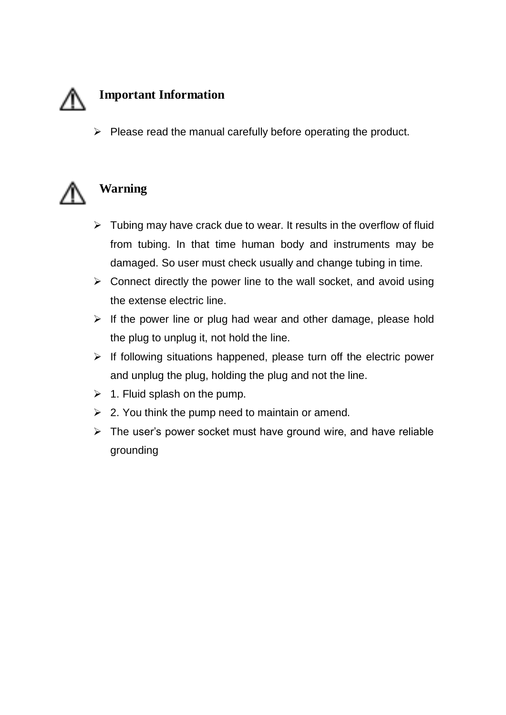

 $\triangleright$  Please read the manual carefully before operating the product.



# **Warning**

- $\triangleright$  Tubing may have crack due to wear. It results in the overflow of fluid from tubing. In that time human body and instruments may be damaged. So user must check usually and change tubing in time.
- $\triangleright$  Connect directly the power line to the wall socket, and avoid using the extense electric line.
- $\triangleright$  If the power line or plug had wear and other damage, please hold the plug to unplug it, not hold the line.
- $\triangleright$  If following situations happened, please turn off the electric power and unplug the plug, holding the plug and not the line.
- $\geq 1$ . Fluid splash on the pump.
- $\geq$  2. You think the pump need to maintain or amend.
- $\triangleright$  The user's power socket must have ground wire, and have reliable grounding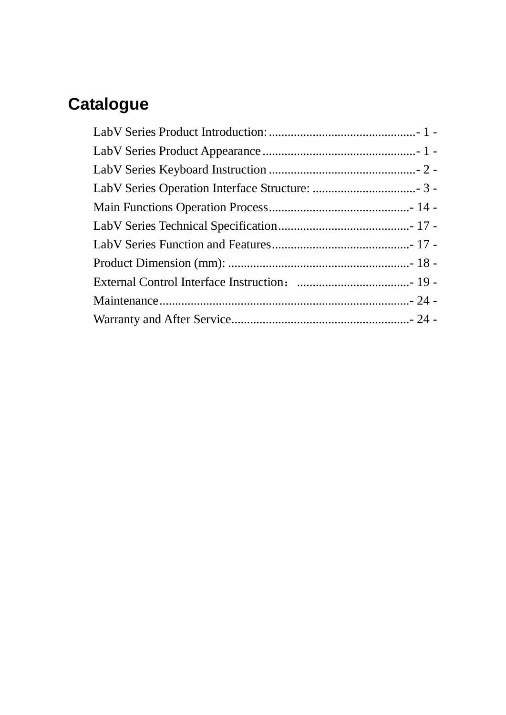# **Catalogue**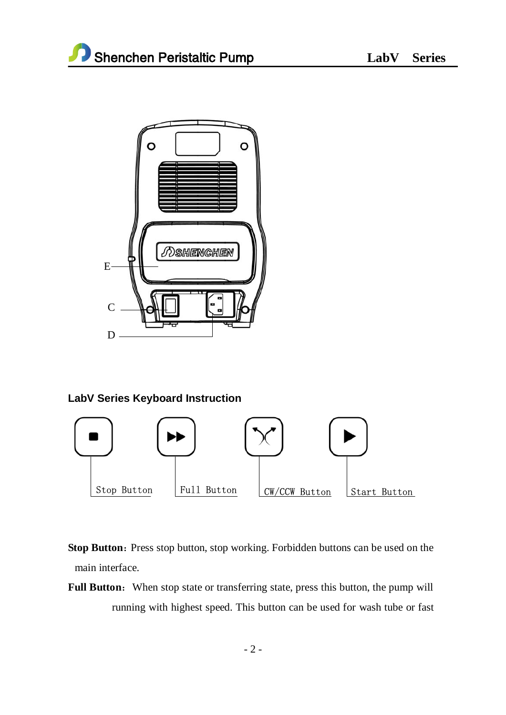

# **LabV Series Keyboard Instruction**



**Stop Button:** Press stop button, stop working. Forbidden buttons can be used on the main interface.

Full Button: When stop state or transferring state, press this button, the pump will running with highest speed. This button can be used for wash tube or fast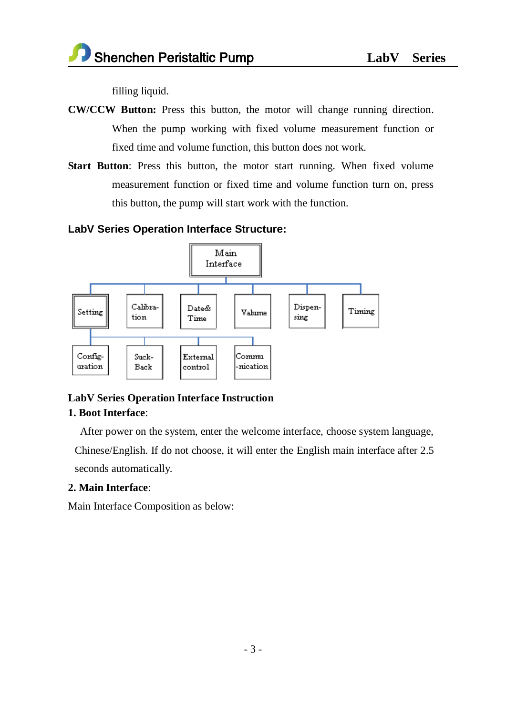filling liquid.

- **CW/CCW Button:** Press this button, the motor will change running direction. When the pump working with fixed volume measurement function or fixed time and volume function, this button does not work.
- **Start Button**: Press this button, the motor start running. When fixed volume measurement function or fixed time and volume function turn on, press this button, the pump will start work with the function.

## **LabV Series Operation Interface Structure:**



# **LabV Series Operation Interface Instruction 1. Boot Interface**:

After power on the system, enter the welcome interface, choose system language,

Chinese/English. If do not choose, it will enter the English main interface after 2.5 seconds automatically.

# **2. Main Interface**:

Main Interface Composition as below: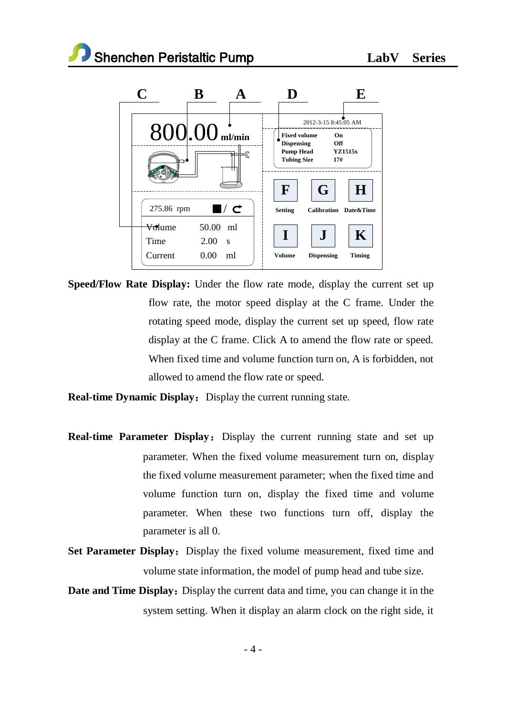

**Speed/Flow Rate Display:** Under the flow rate mode, display the current set up flow rate, the motor speed display at the C frame. Under the rotating speed mode, display the current set up speed, flow rate display at the C frame. Click A to amend the flow rate or speed. When fixed time and volume function turn on, A is forbidden, not allowed to amend the flow rate or speed.

**Real-time Dynamic Display:** Display the current running state.

- **Real-time Parameter Display:** Display the current running state and set up parameter. When the fixed volume measurement turn on, display the fixed volume measurement parameter; when the fixed time and volume function turn on, display the fixed time and volume parameter. When these two functions turn off, display the parameter is all 0.
- **Set Parameter Display:** Display the fixed volume measurement, fixed time and volume state information, the model of pump head and tube size.
- **Date and Time Display:** Display the current data and time, you can change it in the system setting. When it display an alarm clock on the right side, it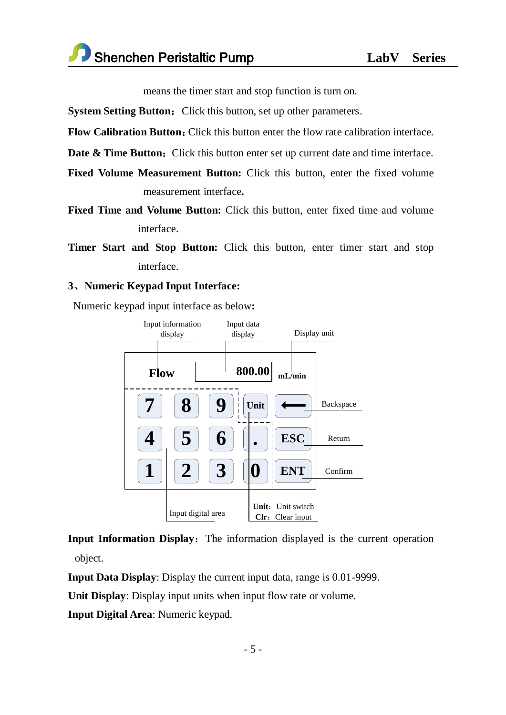means the timer start and stop function is turn on.

**System Setting Button:** Click this button, set up other parameters.

**Flow Calibration Button:** Click this button enter the flow rate calibration interface.

**Date & Time Button:** Click this button enter set up current date and time interface.

- **Fixed Volume Measurement Button:** Click this button, enter the fixed volume measurement interface**.**
- **Fixed Time and Volume Button:** Click this button, enter fixed time and volume interface.
- **Timer Start and Stop Button:** Click this button, enter timer start and stop interface.

#### **3**、**Numeric Keypad Input Interface:**

Numeric keypad input interface as below**:** 



**Input Information Display:** The information displayed is the current operation object.

**Input Data Display**: Display the current input data, range is 0.01-9999.

**Unit Display**: Display input units when input flow rate or volume.

**Input Digital Area**: Numeric keypad.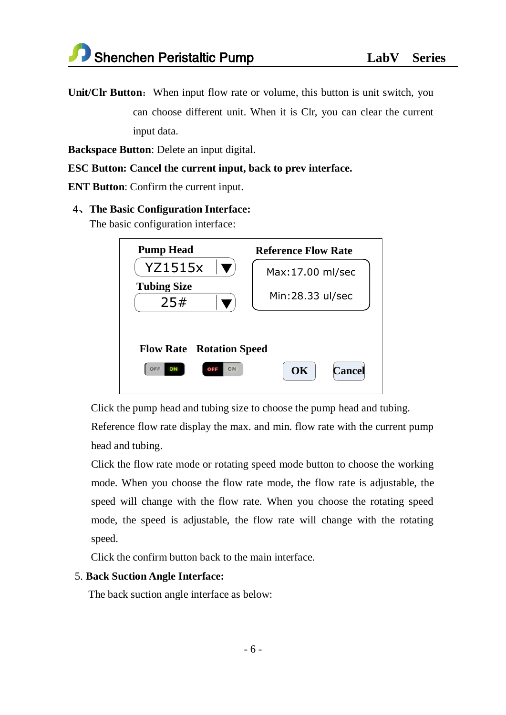**Unit/Clr Button:** When input flow rate or volume, this button is unit switch, you can choose different unit. When it is Clr, you can clear the current input data.

**Backspace Button**: Delete an input digital.

#### **ESC Button: Cancel the current input, back to prev interface.**

**ENT Button**: Confirm the current input.

#### **4**、**The Basic Configuration Interface:**

The basic configuration interface:

| <b>Pump Head</b>                                                                 | <b>Reference Flow Rate</b> |  |  |  |  |
|----------------------------------------------------------------------------------|----------------------------|--|--|--|--|
| <b>YZ1515x</b>                                                                   | Max: 17.00 ml/sec          |  |  |  |  |
| <b>Tubing Size</b><br>25#                                                        | Min:28.33 ul/sec           |  |  |  |  |
| <b>Flow Rate</b> Rotation Speed<br>OK<br>ON<br>OFF<br><b>Cancel</b><br>ON<br>OFF |                            |  |  |  |  |

Click the pump head and tubing size to choose the pump head and tubing.

Reference flow rate display the max. and min. flow rate with the current pump head and tubing.

Click the flow rate mode or rotating speed mode button to choose the working mode. When you choose the flow rate mode, the flow rate is adjustable, the speed will change with the flow rate. When you choose the rotating speed mode, the speed is adjustable, the flow rate will change with the rotating speed.

Click the confirm button back to the main interface.

#### 5. **Back Suction Angle Interface:**

The back suction angle interface as below: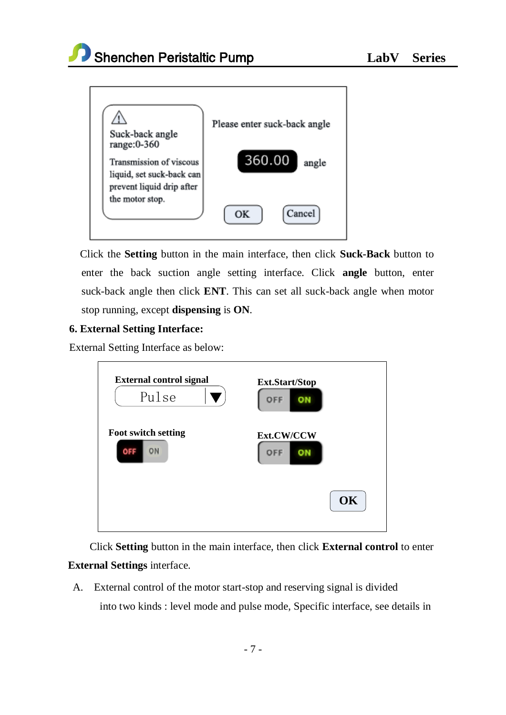



Click the **Setting** button in the main interface, then click **Suck-Back** button to enter the back suction angle setting interface. Click **angle** button, enter suck-back angle then click **ENT**. This can set all suck-back angle when motor stop running, except **dispensing** is **ON**.

#### **6. External Setting Interface:**

External Setting Interface as below:



Click **Setting** button in the main interface, then click **External control** to enter **External Settings** interface.

A. External control of the motor start-stop and reserving signal is divided into two kinds : level mode and pulse mode, Specific interface, see details in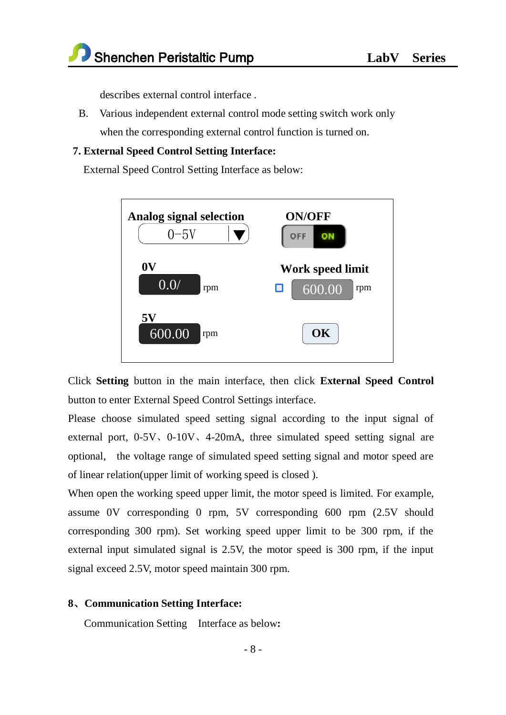describes external control interface .

B. Various independent external control mode setting switch work only when the corresponding external control function is turned on.

#### **7. External Speed Control Setting Interface:**

External Speed Control Setting Interface as below:



Click **Setting** button in the main interface, then click **External Speed Control** button to enter External Speed Control Settings interface.

Please choose simulated speed setting signal according to the input signal of external port,  $0-5V$ ,  $0-10V$ ,  $4-20mA$ , three simulated speed setting signal are optional, the voltage range of simulated speed setting signal and motor speed are of linear relation(upper limit of working speed is closed ).

When open the working speed upper limit, the motor speed is limited. For example, assume 0V corresponding 0 rpm, 5V corresponding 600 rpm (2.5V should corresponding 300 rpm). Set working speed upper limit to be 300 rpm, if the external input simulated signal is 2.5V, the motor speed is 300 rpm, if the input signal exceed 2.5V, motor speed maintain 300 rpm.

#### **8**、**Communication Setting Interface:**

Communication Setting Interface as below**:**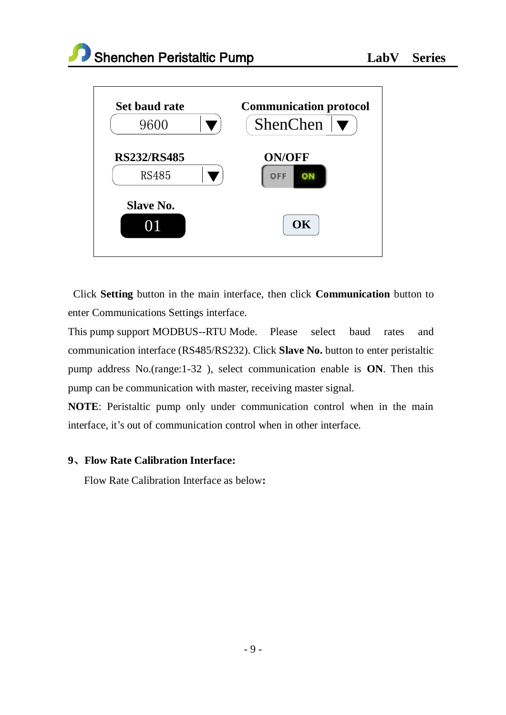



Click **Setting** button in the main interface, then click **Communication** button to enter Communications Settings interface.

This pump support MODBUS--RTU Mode. Please select baud rates and communication interface (RS485/RS232). Click **Slave No.** button to enter peristaltic pump address No.(range:1-32 ), select communication enable is **ON**. Then this pump can be communication with master, receiving master signal.

**NOTE**: Peristaltic pump only under communication control when in the main interface, it's out of communication control when in other interface.

#### **9**、**Flow Rate Calibration Interface:**

Flow Rate Calibration Interface as below**:**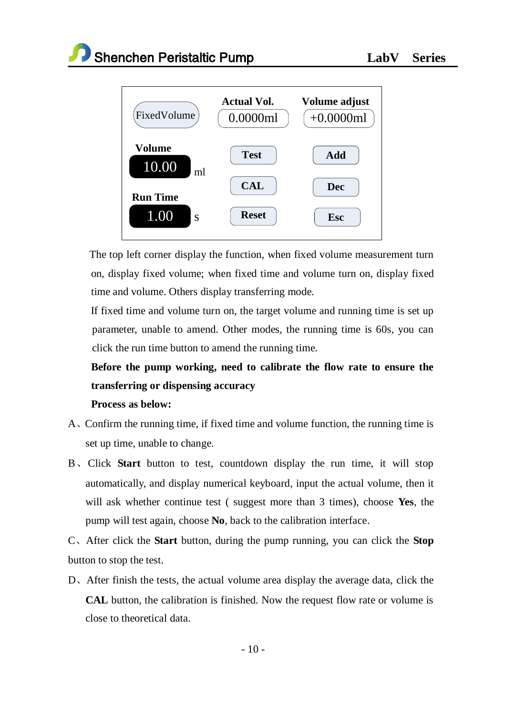

The top left corner display the function, when fixed volume measurement turn on, display fixed volume; when fixed time and volume turn on, display fixed time and volume. Others display transferring mode.

 If fixed time and volume turn on, the target volume and running time is set up parameter, unable to amend. Other modes, the running time is 60s, you can click the run time button to amend the running time.

# **Before the pump working, need to calibrate the flow rate to ensure the transferring or dispensing accuracy**

#### **Process as below:**

- A、Confirm the running time, if fixed time and volume function, the running time is set up time, unable to change.
- B、Click **Start** button to test, countdown display the run time, it will stop automatically, and display numerical keyboard, input the actual volume, then it will ask whether continue test ( suggest more than 3 times), choose **Yes**, the pump will test again, choose **No**, back to the calibration interface.
- C、After click the **Start** button, during the pump running, you can click the **Stop** button to stop the test.
- D、After finish the tests, the actual volume area display the average data, click the **CAL** button, the calibration is finished. Now the request flow rate or volume is close to theoretical data.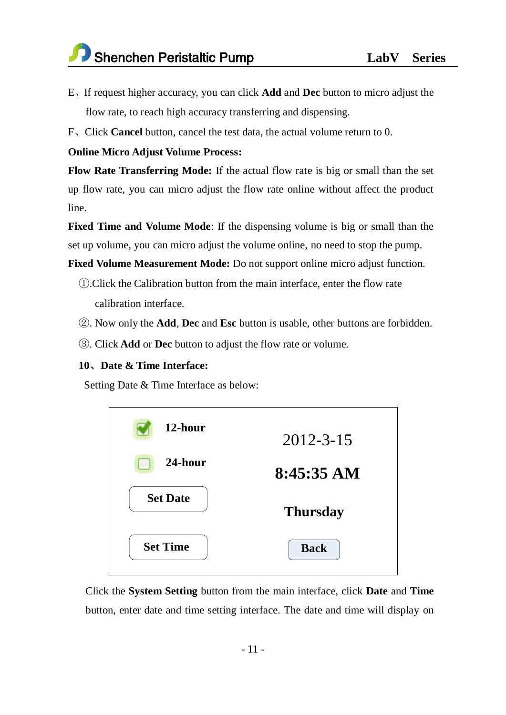- E、If request higher accuracy, you can click **Add** and **Dec** button to micro adjust the flow rate, to reach high accuracy transferring and dispensing.
- F、Click **Cancel** button, cancel the test data, the actual volume return to 0.

#### **Online Micro Adjust Volume Process:**

**Flow Rate Transferring Mode:** If the actual flow rate is big or small than the set up flow rate, you can micro adjust the flow rate online without affect the product line.

**Fixed Time and Volume Mode**: If the dispensing volume is big or small than the set up volume, you can micro adjust the volume online, no need to stop the pump.

**Fixed Volume Measurement Mode:** Do not support online micro adjust function.

- ①.Click the Calibration button from the main interface, enter the flow rate calibration interface.
- ②. Now only the **Add**, **Dec** and **Esc** button is usable, other buttons are forbidden.
- ③. Click **Add** or **Dec** button to adjust the flow rate or volume.

#### **10**、**Date & Time Interface:**

Setting Date & Time Interface as below:

| 12-hour         | $2012 - 3 - 15$ |
|-----------------|-----------------|
| 24-hour         | $8:45:35$ AM    |
| <b>Set Date</b> | <b>Thursday</b> |
| <b>Set Time</b> | <b>Back</b>     |

Click the **System Setting** button from the main interface, click **Date** and **Time** button, enter date and time setting interface. The date and time will display on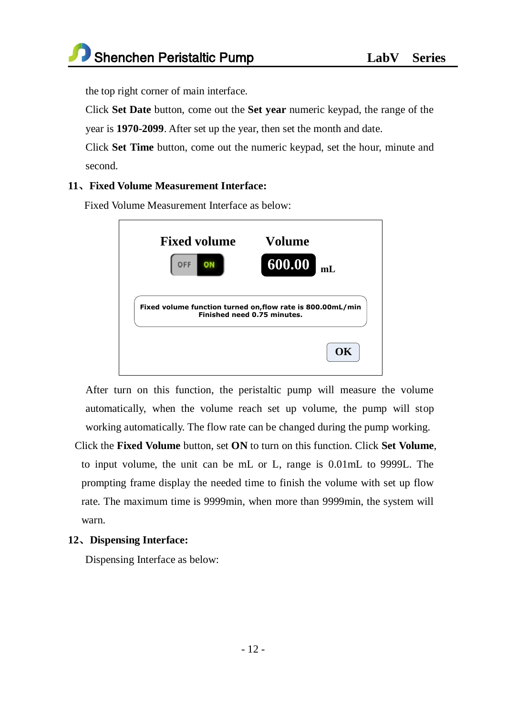the top right corner of main interface.

Click **Set Date** button, come out the **Set year** numeric keypad, the range of the year is **1970-2099**. After set up the year, then set the month and date.

Click **Set Time** button, come out the numeric keypad, set the hour, minute and second.

#### **11**、**Fixed Volume Measurement Interface:**

Fixed Volume Measurement Interface as below:



After turn on this function, the peristaltic pump will measure the volume automatically, when the volume reach set up volume, the pump will stop working automatically. The flow rate can be changed during the pump working.

Click the **Fixed Volume** button, set **ON** to turn on this function. Click **Set Volume**, to input volume, the unit can be mL or L, range is 0.01mL to 9999L. The prompting frame display the needed time to finish the volume with set up flow rate. The maximum time is 9999min, when more than 9999min, the system will warn.

#### **12**、**Dispensing Interface:**

Dispensing Interface as below: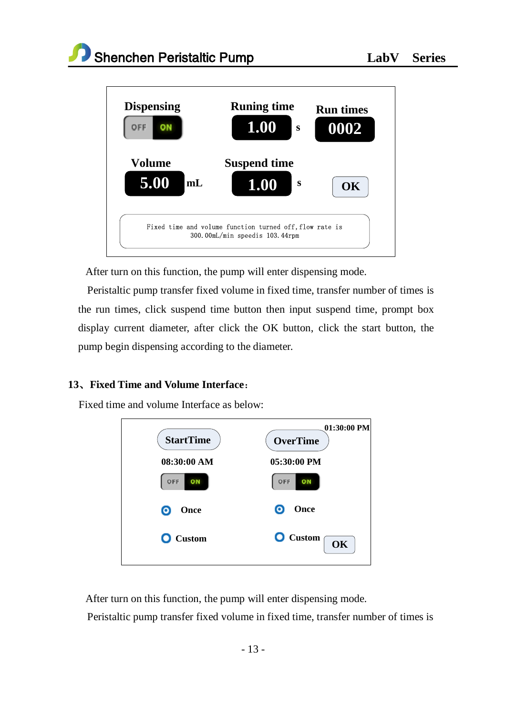

After turn on this function, the pump will enter dispensing mode.

 Peristaltic pump transfer fixed volume in fixed time, transfer number of times is the run times, click suspend time button then input suspend time, prompt box display current diameter, after click the OK button, click the start button, the pump begin dispensing according to the diameter.

# **13**、**Fixed Time and Volume Interface**:

Fixed time and volume Interface as below:



After turn on this function, the pump will enter dispensing mode.

Peristaltic pump transfer fixed volume in fixed time, transfer number of times is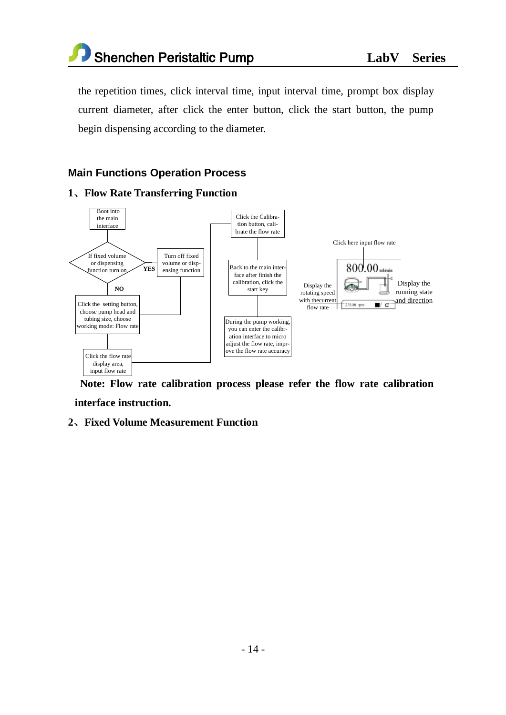

the repetition times, click interval time, input interval time, prompt box display current diameter, after click the enter button, click the start button, the pump begin dispensing according to the diameter.

## **Main Functions Operation Process**

#### **1**、**Flow Rate Transferring Function**



**Note: Flow rate calibration process please refer the flow rate calibration interface instruction.**

#### **2**、**Fixed Volume Measurement Function**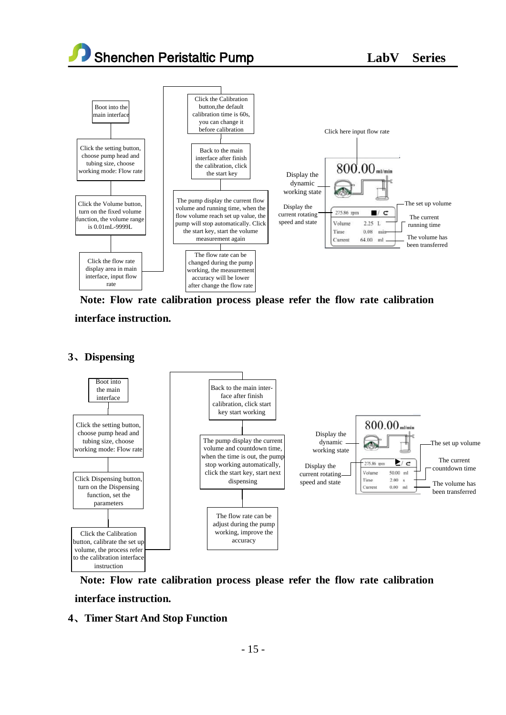Shenchen Peristaltic Pump **LabV Series** 



**Note: Flow rate calibration process please refer the flow rate calibration** 

**interface instruction.**

#### **3**、**Dispensing**



**Note: Flow rate calibration process please refer the flow rate calibration interface instruction.**

#### **4**、**Timer Start And Stop Function**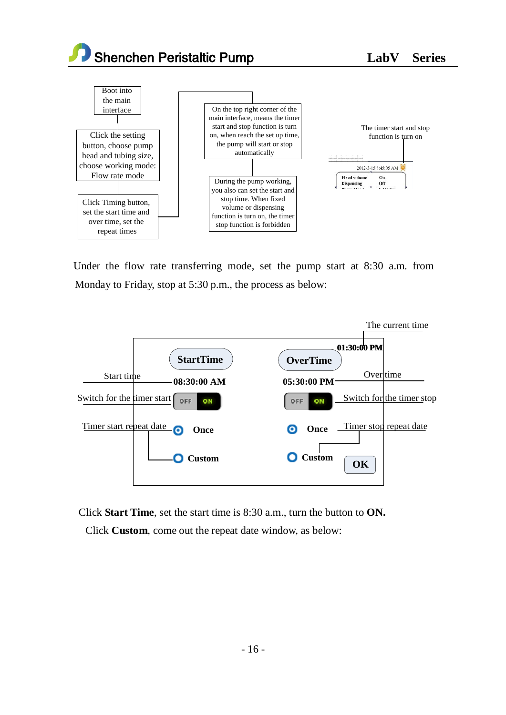Shenchen Peristaltic Pump<br>
LabV Series



Under the flow rate transferring mode, set the pump start at 8:30 a.m. from Monday to Friday, stop at 5:30 p.m., the process as below:



Click **Start Time**, set the start time is 8:30 a.m., turn the button to **ON.**

Click **Custom**, come out the repeat date window, as below: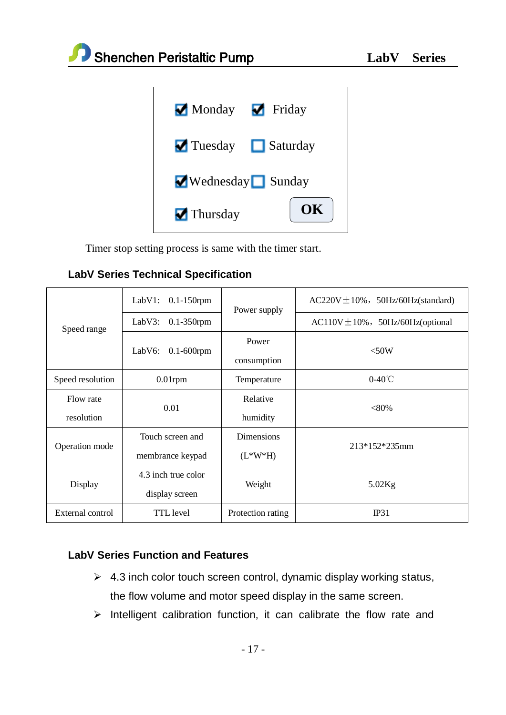

Timer stop setting process is same with the timer start.

|  |  |  |  | <b>LabV Series Technical Specification</b> |
|--|--|--|--|--------------------------------------------|
|--|--|--|--|--------------------------------------------|

| Speed range      | LabV1:<br>$0.1-150$ rpm   | Power supply      | $AC220V \pm 10\%$ , 50Hz/60Hz(standard) |
|------------------|---------------------------|-------------------|-----------------------------------------|
|                  | LabV3:<br>$0.1-350$ rpm   |                   | $AC110V \pm 10\%$ , 50Hz/60Hz(optional  |
|                  | LabV6:<br>$0.1 - 600$ rpm | Power             | $<$ 50W                                 |
|                  |                           | consumption       |                                         |
| Speed resolution | $0.01$ rpm                | Temperature       | $0-40^{\circ}$ C                        |
| Flow rate        | 0.01                      | Relative          | $< 80\%$                                |
| resolution       |                           | humidity          |                                         |
| Operation mode   | Touch screen and          | <b>Dimensions</b> | 213*152*235mm                           |
|                  | membrance keypad          | $(L*W*H)$         |                                         |
| Display          | 4.3 inch true color       |                   |                                         |
|                  | display screen            | Weight            | $5.02$ Kg                               |
| External control | TTL level                 | Protection rating | IP31                                    |

# **LabV Series Function and Features**

- $\geq 4.3$  inch color touch screen control, dynamic display working status, the flow volume and motor speed display in the same screen.
- $\triangleright$  Intelligent calibration function, it can calibrate the flow rate and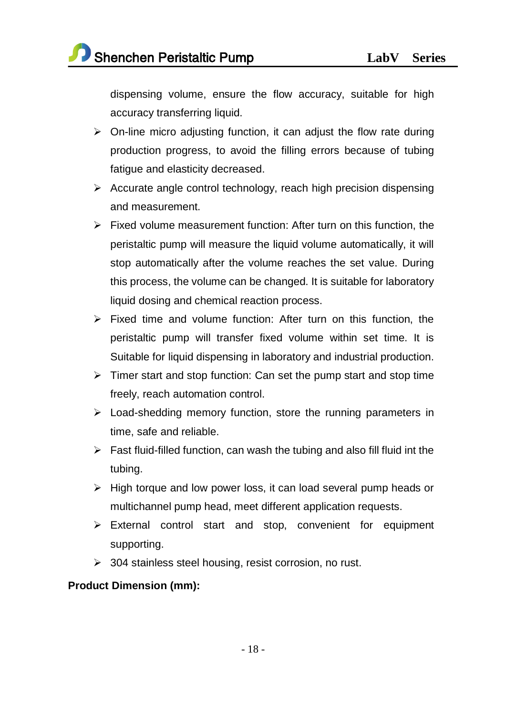dispensing volume, ensure the flow accuracy, suitable for high accuracy transferring liquid.

- $\triangleright$  On-line micro adjusting function, it can adjust the flow rate during production progress, to avoid the filling errors because of tubing fatigue and elasticity decreased.
- $\triangleright$  Accurate angle control technology, reach high precision dispensing and measurement.
- $\triangleright$  Fixed volume measurement function: After turn on this function, the peristaltic pump will measure the liquid volume automatically, it will stop automatically after the volume reaches the set value. During this process, the volume can be changed. It is suitable for laboratory liquid dosing and chemical reaction process.
- $\triangleright$  Fixed time and volume function: After turn on this function, the peristaltic pump will transfer fixed volume within set time. It is Suitable for liquid dispensing in laboratory and industrial production.
- $\triangleright$  Timer start and stop function: Can set the pump start and stop time freely, reach automation control.
- $\triangleright$  Load-shedding memory function, store the running parameters in time, safe and reliable.
- $\triangleright$  Fast fluid-filled function, can wash the tubing and also fill fluid int the tubing.
- $\triangleright$  High torque and low power loss, it can load several pump heads or multichannel pump head, meet different application requests.
- $\triangleright$  External control start and stop, convenient for equipment supporting.
- > 304 stainless steel housing, resist corrosion, no rust.

# **Product Dimension (mm):**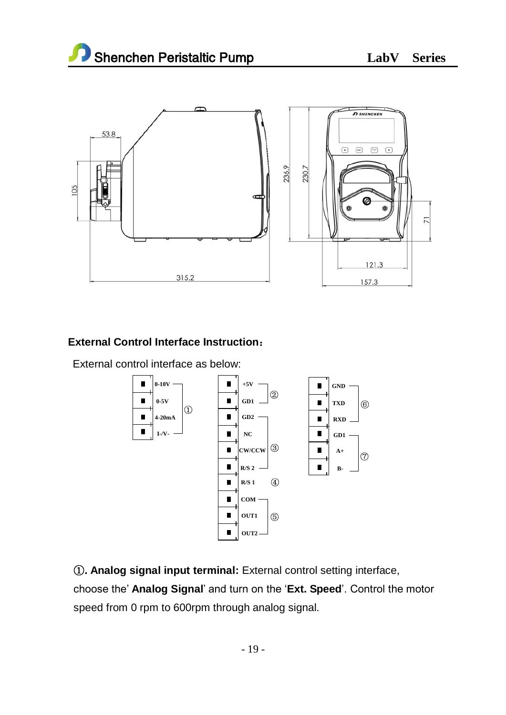

# **External Control Interface Instruction**:

External control interface as below:



①**. Analog signal input terminal:** External control setting interface, choose the' **Analog Signal**' and turn on the '**Ext. Speed**'. Control the motor speed from 0 rpm to 600rpm through analog signal.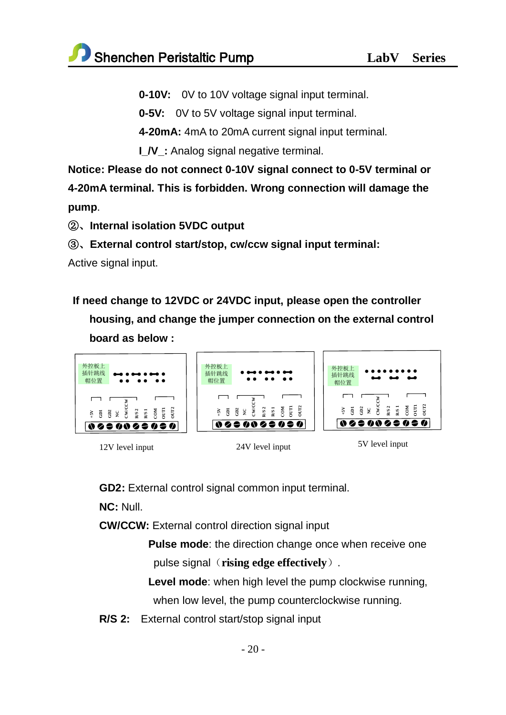**0-10V:** 0V to 10V voltage signal input terminal.

**0-5V:** 0V to 5V voltage signal input terminal.

**4-20mA:** 4mA to 20mA current signal input terminal.

**I\_/V\_:** Analog signal negative terminal.

**Notice: Please do not connect 0-10V signal connect to 0-5V terminal or 4-20mA terminal. This is forbidden. Wrong connection will damage the pump**.

②、**Internal isolation 5VDC output**

③、**External control start/stop, cw/ccw signal input terminal:**

Active signal input.

**If need change to 12VDC or 24VDC input, please open the controller housing, and change the jumper connection on the external control board as below :** 



- 
- 12V level input 24V level input 5V level input

**GD2:** External control signal common input terminal.

**NC:** Null.

**CW/CCW:** External control direction signal input

**Pulse mode**: the direction change once when receive one pulse signal(**rising edge effectively**).

**Level mode**: when high level the pump clockwise running, when low level, the pump counterclockwise running.

**R/S 2:** External control start/stop signal input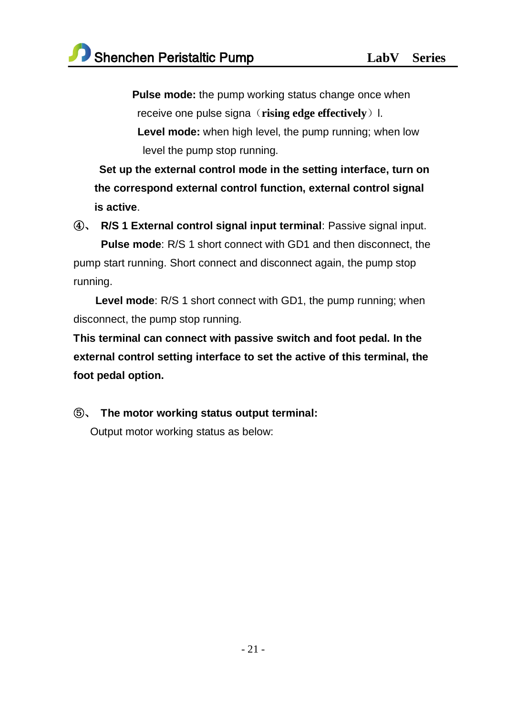**Pulse mode:** the pump working status change once when receive one pulse signa (**rising edge effectively**) l. **Level mode:** when high level, the pump running; when low level the pump stop running.

**Set up the external control mode in the setting interface, turn on the correspond external control function, external control signal is active**.

④、 **R/S 1 External control signal input terminal**: Passive signal input.

 **Pulse mode**: R/S 1 short connect with GD1 and then disconnect, the pump start running. Short connect and disconnect again, the pump stop running.

 **Level mode**: R/S 1 short connect with GD1, the pump running; when disconnect, the pump stop running.

**This terminal can connect with passive switch and foot pedal. In the external control setting interface to set the active of this terminal, the foot pedal option.**

⑤、 **The motor working status output terminal:** Output motor working status as below: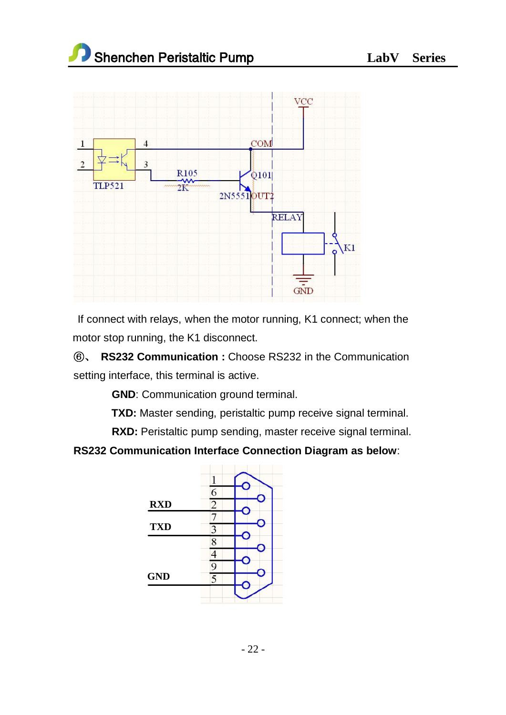

If connect with relays, when the motor running, K1 connect; when the motor stop running, the K1 disconnect.

⑥、 **RS232 Communication :** Choose RS232 in the Communication setting interface, this terminal is active.

**GND**: Communication ground terminal.

**TXD:** Master sending, peristaltic pump receive signal terminal.

**RXD:** Peristaltic pump sending, master receive signal terminal.

# **RS232 Communication Interface Connection Diagram as below**:

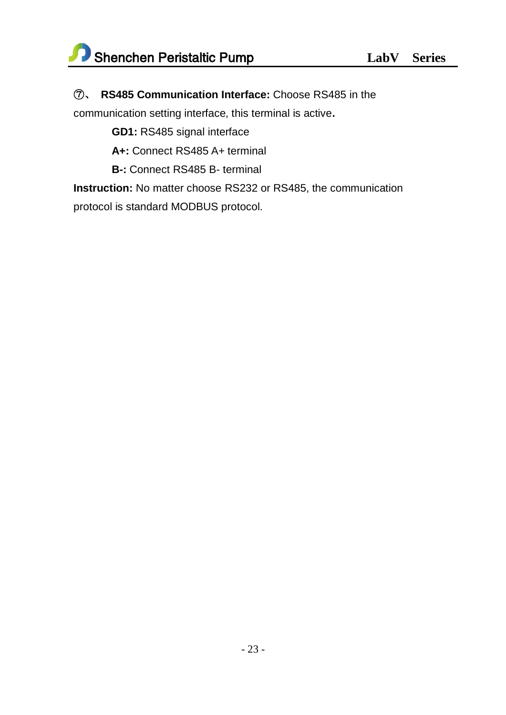# ⑦、 **RS485 Communication Interface:** Choose RS485 in the

communication setting interface, this terminal is active**.** 

**GD1:** RS485 signal interface

**A+:** Connect RS485 A+ terminal

**B-:** Connect RS485 B- terminal

**Instruction:** No matter choose RS232 or RS485, the communication protocol is standard MODBUS protocol.